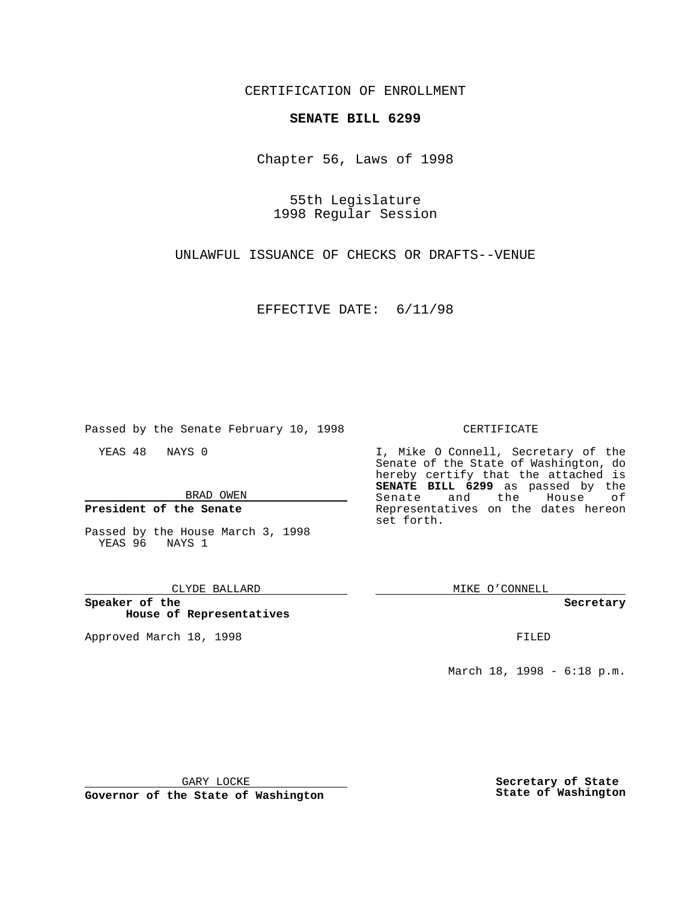CERTIFICATION OF ENROLLMENT

## **SENATE BILL 6299**

Chapter 56, Laws of 1998

55th Legislature 1998 Regular Session

UNLAWFUL ISSUANCE OF CHECKS OR DRAFTS--VENUE

EFFECTIVE DATE: 6/11/98

Passed by the Senate February 10, 1998

YEAS 48 NAYS 0

BRAD OWEN

**President of the Senate**

Passed by the House March 3, 1998 YEAS 96 NAYS 1

### CLYDE BALLARD

**Speaker of the House of Representatives**

Approved March 18, 1998 **FILED** 

### CERTIFICATE

I, Mike O Connell, Secretary of the Senate of the State of Washington, do hereby certify that the attached is **SENATE BILL 6299** as passed by the Senate and the House of Representatives on the dates hereon set forth.

MIKE O'CONNELL

#### **Secretary**

March 18, 1998 - 6:18 p.m.

GARY LOCKE

**Governor of the State of Washington**

**Secretary of State State of Washington**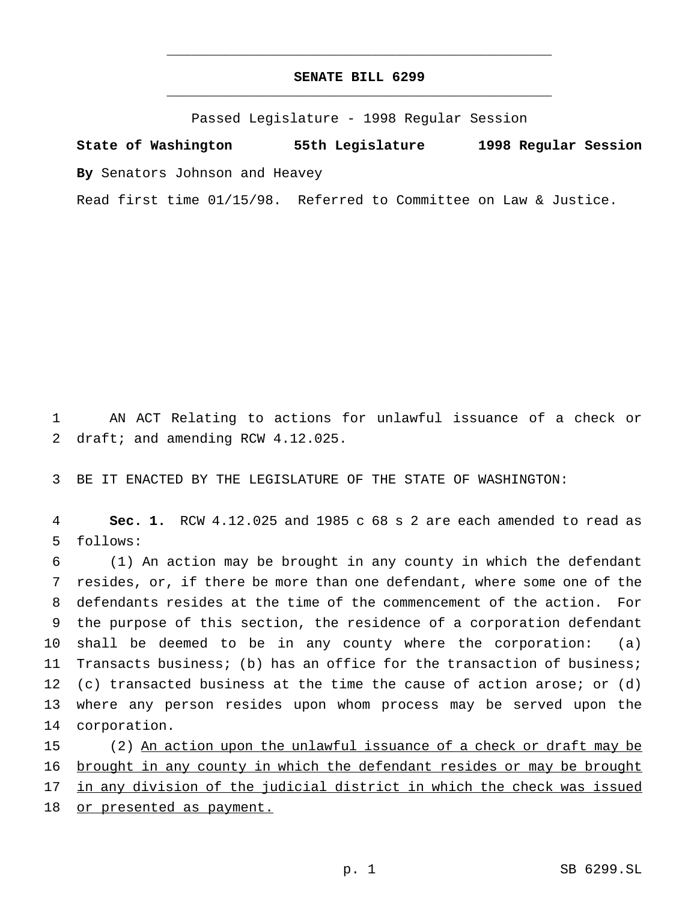# **SENATE BILL 6299** \_\_\_\_\_\_\_\_\_\_\_\_\_\_\_\_\_\_\_\_\_\_\_\_\_\_\_\_\_\_\_\_\_\_\_\_\_\_\_\_\_\_\_\_\_\_\_

\_\_\_\_\_\_\_\_\_\_\_\_\_\_\_\_\_\_\_\_\_\_\_\_\_\_\_\_\_\_\_\_\_\_\_\_\_\_\_\_\_\_\_\_\_\_\_

Passed Legislature - 1998 Regular Session

**State of Washington 55th Legislature 1998 Regular Session By** Senators Johnson and Heavey

Read first time 01/15/98. Referred to Committee on Law & Justice.

1 AN ACT Relating to actions for unlawful issuance of a check or 2 draft; and amending RCW 4.12.025.

3 BE IT ENACTED BY THE LEGISLATURE OF THE STATE OF WASHINGTON:

4 **Sec. 1.** RCW 4.12.025 and 1985 c 68 s 2 are each amended to read as 5 follows:

 (1) An action may be brought in any county in which the defendant resides, or, if there be more than one defendant, where some one of the defendants resides at the time of the commencement of the action. For the purpose of this section, the residence of a corporation defendant shall be deemed to be in any county where the corporation: (a) Transacts business; (b) has an office for the transaction of business; (c) transacted business at the time the cause of action arose; or (d) where any person resides upon whom process may be served upon the corporation.

15 (2) An action upon the unlawful issuance of a check or draft may be 16 brought in any county in which the defendant resides or may be brought 17 in any division of the judicial district in which the check was issued 18 or presented as payment.